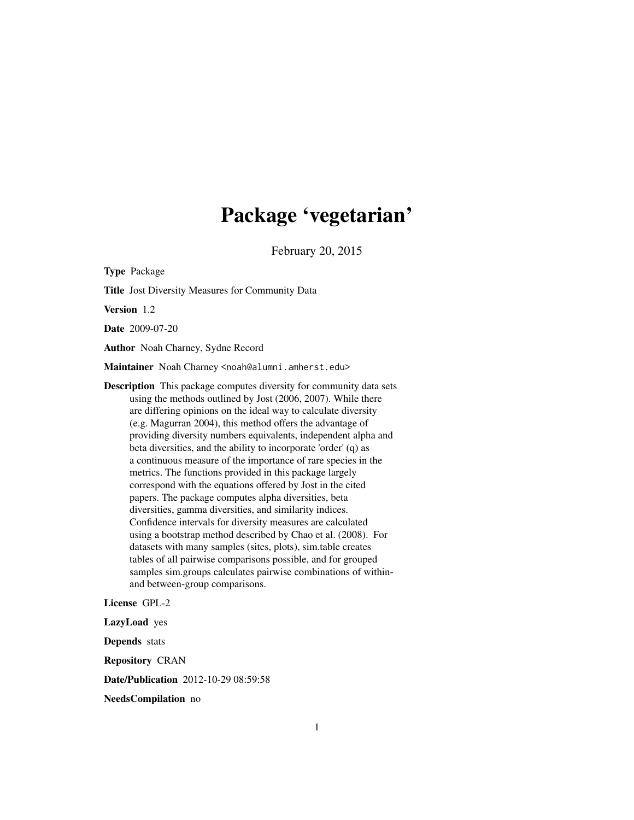# Package 'vegetarian'

February 20, 2015

Type Package Title Jost Diversity Measures for Community Data Version 1.2 Date 2009-07-20 Author Noah Charney, Sydne Record Maintainer Noah Charney <noah@alumni.amherst.edu> Description This package computes diversity for community data sets using the methods outlined by Jost (2006, 2007). While there are differing opinions on the ideal way to calculate diversity (e.g. Magurran 2004), this method offers the advantage of providing diversity numbers equivalents, independent alpha and beta diversities, and the ability to incorporate 'order' (q) as a continuous measure of the importance of rare species in the metrics. The functions provided in this package largely correspond with the equations offered by Jost in the cited papers. The package computes alpha diversities, beta diversities, gamma diversities, and similarity indices. Confidence intervals for diversity measures are calculated using a bootstrap method described by Chao et al. (2008). For datasets with many samples (sites, plots), sim.table creates tables of all pairwise comparisons possible, and for grouped samples sim.groups calculates pairwise combinations of withinand between-group comparisons.

License GPL-2

LazyLoad yes

Depends stats

Repository CRAN

Date/Publication 2012-10-29 08:59:58

NeedsCompilation no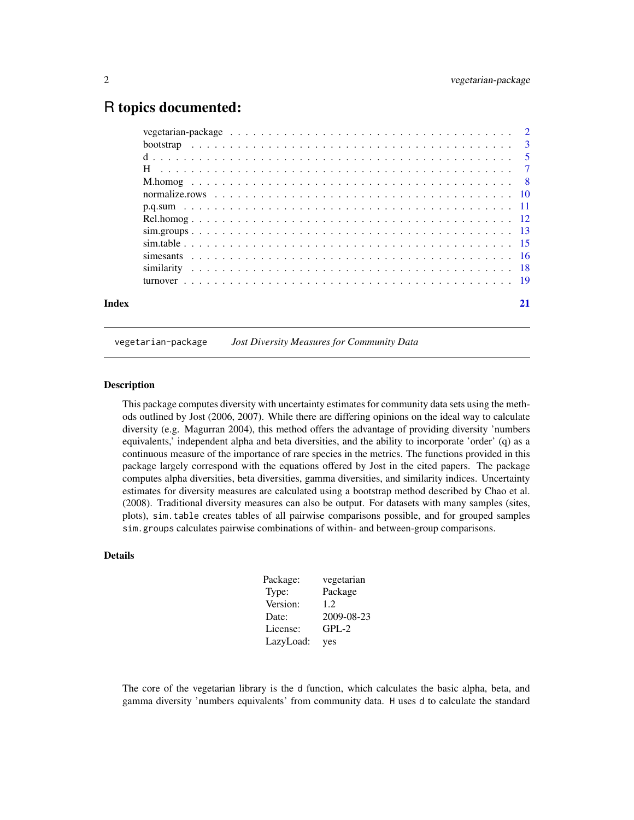# <span id="page-1-0"></span>R topics documented:

| Index |  |
|-------|--|

#### vegetarian-package *Jost Diversity Measures for Community Data*

#### Description

This package computes diversity with uncertainty estimates for community data sets using the methods outlined by Jost (2006, 2007). While there are differing opinions on the ideal way to calculate diversity (e.g. Magurran 2004), this method offers the advantage of providing diversity 'numbers equivalents,' independent alpha and beta diversities, and the ability to incorporate 'order' (q) as a continuous measure of the importance of rare species in the metrics. The functions provided in this package largely correspond with the equations offered by Jost in the cited papers. The package computes alpha diversities, beta diversities, gamma diversities, and similarity indices. Uncertainty estimates for diversity measures are calculated using a bootstrap method described by Chao et al. (2008). Traditional diversity measures can also be output. For datasets with many samples (sites, plots), sim.table creates tables of all pairwise comparisons possible, and for grouped samples sim.groups calculates pairwise combinations of within- and between-group comparisons.

# Details

| Package:  | vegetarian |
|-----------|------------|
| Type:     | Package    |
| Version:  | 1.2.       |
| Date:     | 2009-08-23 |
| License:  | $GPL-2$    |
| LazyLoad: | yes        |

The core of the vegetarian library is the d function, which calculates the basic alpha, beta, and gamma diversity 'numbers equivalents' from community data. H uses d to calculate the standard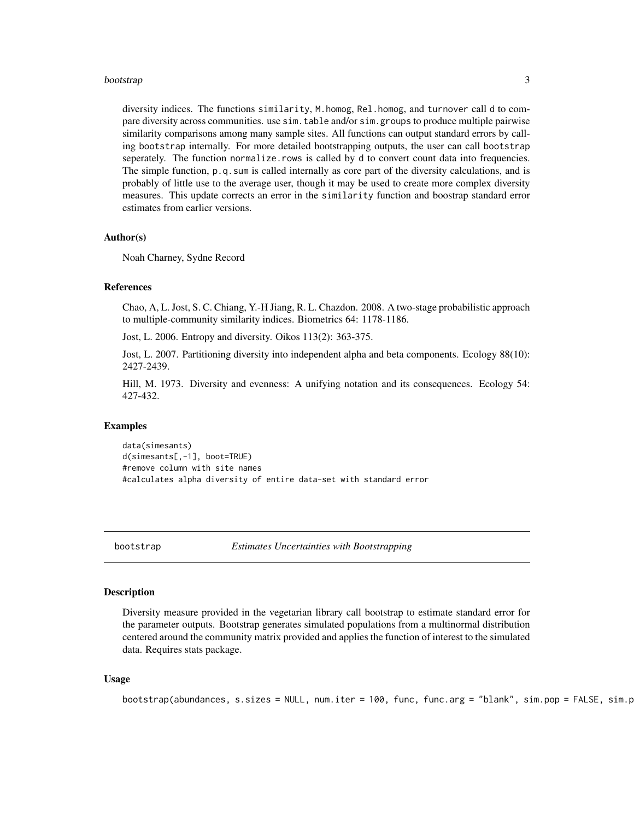#### <span id="page-2-0"></span>bootstrap 3 and 3 and 3 and 3 and 3 and 3 and 3 and 3 and 3 and 3 and 3 and 3 and 3 and 3 and 3 and 3 and 3 and 3 and 3 and 3 and 3 and 3 and 3 and 3 and 3 and 3 and 3 and 3 and 3 and 3 and 3 and 3 and 3 and 3 and 3 and 3

diversity indices. The functions similarity, M.homog, Rel.homog, and turnover call d to compare diversity across communities. use sim.table and/or sim.groups to produce multiple pairwise similarity comparisons among many sample sites. All functions can output standard errors by calling bootstrap internally. For more detailed bootstrapping outputs, the user can call bootstrap seperately. The function normalize.rows is called by d to convert count data into frequencies. The simple function, p.q.sum is called internally as core part of the diversity calculations, and is probably of little use to the average user, though it may be used to create more complex diversity measures. This update corrects an error in the similarity function and boostrap standard error estimates from earlier versions.

#### Author(s)

Noah Charney, Sydne Record

#### References

Chao, A, L. Jost, S. C. Chiang, Y.-H Jiang, R. L. Chazdon. 2008. A two-stage probabilistic approach to multiple-community similarity indices. Biometrics 64: 1178-1186.

Jost, L. 2006. Entropy and diversity. Oikos 113(2): 363-375.

Jost, L. 2007. Partitioning diversity into independent alpha and beta components. Ecology 88(10): 2427-2439.

Hill, M. 1973. Diversity and evenness: A unifying notation and its consequences. Ecology 54: 427-432.

#### Examples

data(simesants) d(simesants[,-1], boot=TRUE) #remove column with site names #calculates alpha diversity of entire data-set with standard error

<span id="page-2-1"></span>bootstrap *Estimates Uncertainties with Bootstrapping*

# Description

Diversity measure provided in the vegetarian library call bootstrap to estimate standard error for the parameter outputs. Bootstrap generates simulated populations from a multinormal distribution centered around the community matrix provided and applies the function of interest to the simulated data. Requires stats package.

#### Usage

```
bootstrap(abundances, s.sizes = NULL, num.iter = 100, func, func.arg = "blank", sim.pop = FALSE, sim.p
```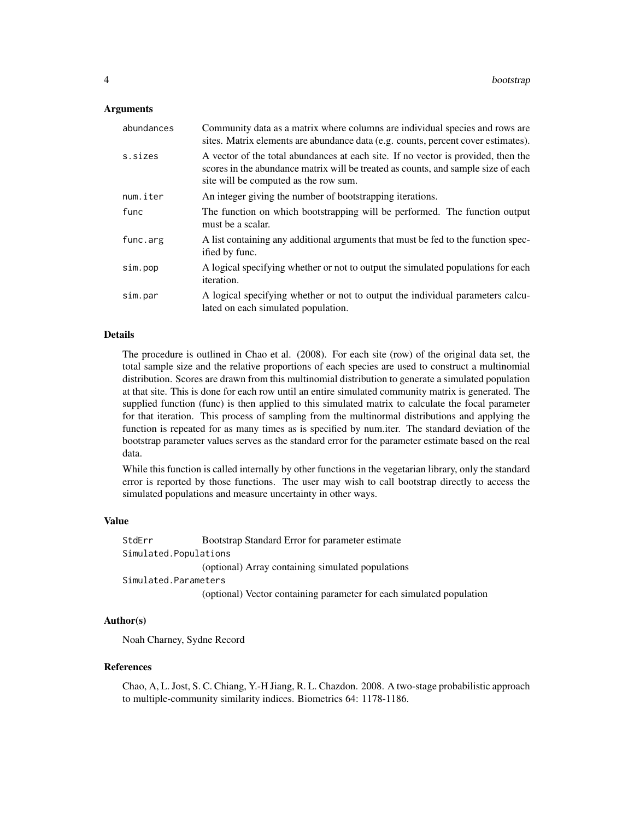# Arguments

| abundances | Community data as a matrix where columns are individual species and rows are<br>sites. Matrix elements are abundance data (e.g. counts, percent cover estimates).                                               |
|------------|-----------------------------------------------------------------------------------------------------------------------------------------------------------------------------------------------------------------|
| s.sizes    | A vector of the total abundances at each site. If no vector is provided, then the<br>scores in the abundance matrix will be treated as counts, and sample size of each<br>site will be computed as the row sum. |
| num.iter   | An integer giving the number of bootstrapping iterations.                                                                                                                                                       |
| func       | The function on which bootstrapping will be performed. The function output<br>must be a scalar.                                                                                                                 |
| func.arg   | A list containing any additional arguments that must be fed to the function spec-<br>ified by func.                                                                                                             |
| sim.pop    | A logical specifying whether or not to output the simulated populations for each<br><i>iteration.</i>                                                                                                           |
| sim.par    | A logical specifying whether or not to output the individual parameters calcu-<br>lated on each simulated population.                                                                                           |

# Details

The procedure is outlined in Chao et al. (2008). For each site (row) of the original data set, the total sample size and the relative proportions of each species are used to construct a multinomial distribution. Scores are drawn from this multinomial distribution to generate a simulated population at that site. This is done for each row until an entire simulated community matrix is generated. The supplied function (func) is then applied to this simulated matrix to calculate the focal parameter for that iteration. This process of sampling from the multinormal distributions and applying the function is repeated for as many times as is specified by num.iter. The standard deviation of the bootstrap parameter values serves as the standard error for the parameter estimate based on the real data.

While this function is called internally by other functions in the vegetarian library, only the standard error is reported by those functions. The user may wish to call bootstrap directly to access the simulated populations and measure uncertainty in other ways.

#### Value

StdErr Bootstrap Standard Error for parameter estimate Simulated.Populations (optional) Array containing simulated populations Simulated.Parameters (optional) Vector containing parameter for each simulated population

# Author(s)

Noah Charney, Sydne Record

# References

Chao, A, L. Jost, S. C. Chiang, Y.-H Jiang, R. L. Chazdon. 2008. A two-stage probabilistic approach to multiple-community similarity indices. Biometrics 64: 1178-1186.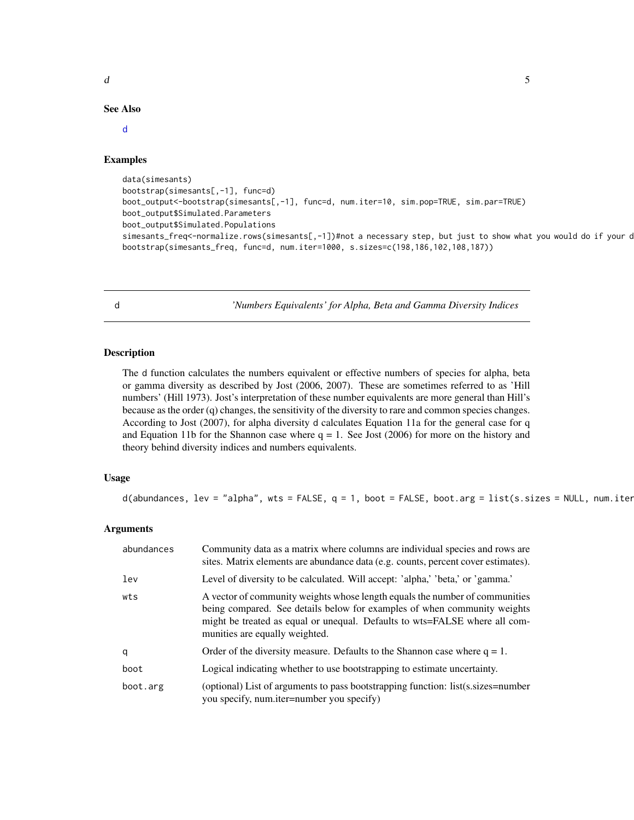# <span id="page-4-0"></span> $d \overline{d}$  5

#### See Also

#### [d](#page-4-1)

# Examples

```
data(simesants)
bootstrap(simesants[,-1], func=d)
boot_output<-bootstrap(simesants[,-1], func=d, num.iter=10, sim.pop=TRUE, sim.par=TRUE)
boot_output$Simulated.Parameters
boot_output$Simulated.Populations
simesants_freq<-normalize.rows(simesants[,-1])#not a necessary step, but just to show what you would do if your d
bootstrap(simesants_freq, func=d, num.iter=1000, s.sizes=c(198,186,102,108,187))
```
<span id="page-4-1"></span>

d *'Numbers Equivalents' for Alpha, Beta and Gamma Diversity Indices*

# Description

The d function calculates the numbers equivalent or effective numbers of species for alpha, beta or gamma diversity as described by Jost (2006, 2007). These are sometimes referred to as 'Hill numbers' (Hill 1973). Jost's interpretation of these number equivalents are more general than Hill's because as the order (q) changes, the sensitivity of the diversity to rare and common species changes. According to Jost (2007), for alpha diversity d calculates Equation 11a for the general case for q and Equation 11b for the Shannon case where  $q = 1$ . See Jost (2006) for more on the history and theory behind diversity indices and numbers equivalents.

# Usage

d(abundances, lev = "alpha", wts = FALSE,  $q = 1$ , boot = FALSE, boot.arg = list(s.sizes = NULL, num.iter

# Arguments

| abundances | Community data as a matrix where columns are individual species and rows are<br>sites. Matrix elements are abundance data (e.g. counts, percent cover estimates).                                                                                                       |
|------------|-------------------------------------------------------------------------------------------------------------------------------------------------------------------------------------------------------------------------------------------------------------------------|
| lev        | Level of diversity to be calculated. Will accept: 'alpha,' 'beta,' or 'gamma.'                                                                                                                                                                                          |
| wts        | A vector of community weights whose length equals the number of communities<br>being compared. See details below for examples of when community weights<br>might be treated as equal or unequal. Defaults to wts=FALSE where all com-<br>munities are equally weighted. |
| q          | Order of the diversity measure. Defaults to the Shannon case where $q = 1$ .                                                                                                                                                                                            |
| boot       | Logical indicating whether to use bootstrapping to estimate uncertainty.                                                                                                                                                                                                |
| boot.arg   | (optional) List of arguments to pass bootstrapping function: list(s.sizes=number<br>you specify, num.iter=number you specify)                                                                                                                                           |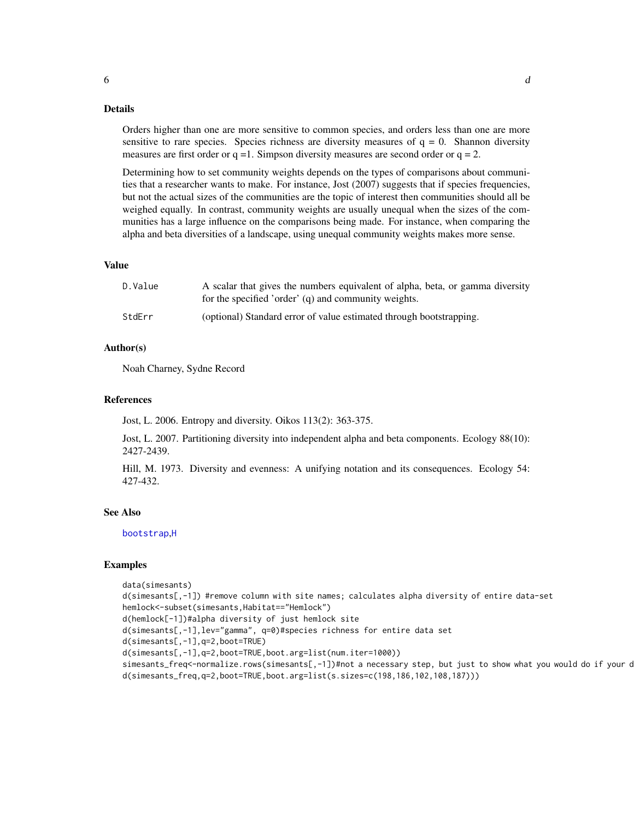#### Details

Orders higher than one are more sensitive to common species, and orders less than one are more sensitive to rare species. Species richness are diversity measures of  $q = 0$ . Shannon diversity measures are first order or  $q = 1$ . Simpson diversity measures are second order or  $q = 2$ .

Determining how to set community weights depends on the types of comparisons about communities that a researcher wants to make. For instance, Jost (2007) suggests that if species frequencies, but not the actual sizes of the communities are the topic of interest then communities should all be weighed equally. In contrast, community weights are usually unequal when the sizes of the communities has a large influence on the comparisons being made. For instance, when comparing the alpha and beta diversities of a landscape, using unequal community weights makes more sense.

#### Value

| D.Value | A scalar that gives the numbers equivalent of alpha, beta, or gamma diversity |
|---------|-------------------------------------------------------------------------------|
|         | for the specified 'order' (q) and community weights.                          |
| StdErr  | (optional) Standard error of value estimated through bootstrapping.           |

#### Author(s)

Noah Charney, Sydne Record

# References

Jost, L. 2006. Entropy and diversity. Oikos 113(2): 363-375.

Jost, L. 2007. Partitioning diversity into independent alpha and beta components. Ecology 88(10): 2427-2439.

Hill, M. 1973. Diversity and evenness: A unifying notation and its consequences. Ecology 54: 427-432.

# See Also

[bootstrap](#page-2-1),[H](#page-6-1)

#### Examples

```
data(simesants)
d(simesants[,-1]) #remove column with site names; calculates alpha diversity of entire data-set
hemlock<-subset(simesants,Habitat=="Hemlock")
d(hemlock[-1])#alpha diversity of just hemlock site
d(simesants[,-1],lev="gamma", q=0)#species richness for entire data set
d(simesants[,-1],q=2,boot=TRUE)
d(simesants[,-1],q=2,boot=TRUE,boot.arg=list(num.iter=1000))
simesants_freq<-normalize.rows(simesants[,-1])#not a necessary step, but just to show what you would do if your d
d(simesants_freq,q=2,boot=TRUE,boot.arg=list(s.sizes=c(198,186,102,108,187)))
```
<span id="page-5-0"></span>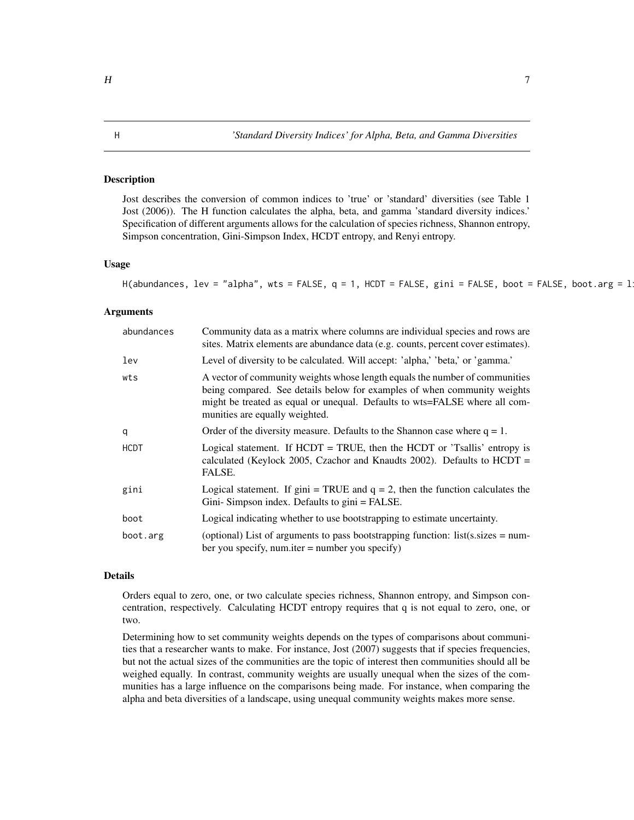# <span id="page-6-1"></span><span id="page-6-0"></span>**Description**

Jost describes the conversion of common indices to 'true' or 'standard' diversities (see Table 1 Jost (2006)). The H function calculates the alpha, beta, and gamma 'standard diversity indices.' Specification of different arguments allows for the calculation of species richness, Shannon entropy, Simpson concentration, Gini-Simpson Index, HCDT entropy, and Renyi entropy.

#### Usage

H(abundances, lev = "alpha", wts = FALSE,  $q = 1$ , HCDT = FALSE, gini = FALSE, boot = FALSE, boot.arg = 1

# Arguments

| abundances  | Community data as a matrix where columns are individual species and rows are<br>sites. Matrix elements are abundance data (e.g. counts, percent cover estimates).                                                                                                       |
|-------------|-------------------------------------------------------------------------------------------------------------------------------------------------------------------------------------------------------------------------------------------------------------------------|
| lev         | Level of diversity to be calculated. Will accept: 'alpha,' 'beta,' or 'gamma.'                                                                                                                                                                                          |
| wts         | A vector of community weights whose length equals the number of communities<br>being compared. See details below for examples of when community weights<br>might be treated as equal or unequal. Defaults to wts=FALSE where all com-<br>munities are equally weighted. |
| q           | Order of the diversity measure. Defaults to the Shannon case where $q = 1$ .                                                                                                                                                                                            |
| <b>HCDT</b> | Logical statement. If $HCDT = TRUE$ , then the $HCDT$ or 'Tsallis' entropy is<br>calculated (Keylock 2005, Czachor and Knaudts 2002). Defaults to HCDT =<br>FALSE.                                                                                                      |
| gini        | Logical statement. If $\text{gini} = \text{TRUE}$ and $q = 2$ , then the function calculates the<br>Gini-Simpson index. Defaults to gini = FALSE.                                                                                                                       |
| boot        | Logical indicating whether to use bootstrapping to estimate uncertainty.                                                                                                                                                                                                |
| boot.arg    | (optional) List of arguments to pass bootstrapping function: list(s.sizes = num-<br>ber you specify, num.iter $=$ number you specify)                                                                                                                                   |

# Details

Orders equal to zero, one, or two calculate species richness, Shannon entropy, and Simpson concentration, respectively. Calculating HCDT entropy requires that q is not equal to zero, one, or two.

Determining how to set community weights depends on the types of comparisons about communities that a researcher wants to make. For instance, Jost (2007) suggests that if species frequencies, but not the actual sizes of the communities are the topic of interest then communities should all be weighed equally. In contrast, community weights are usually unequal when the sizes of the communities has a large influence on the comparisons being made. For instance, when comparing the alpha and beta diversities of a landscape, using unequal community weights makes more sense.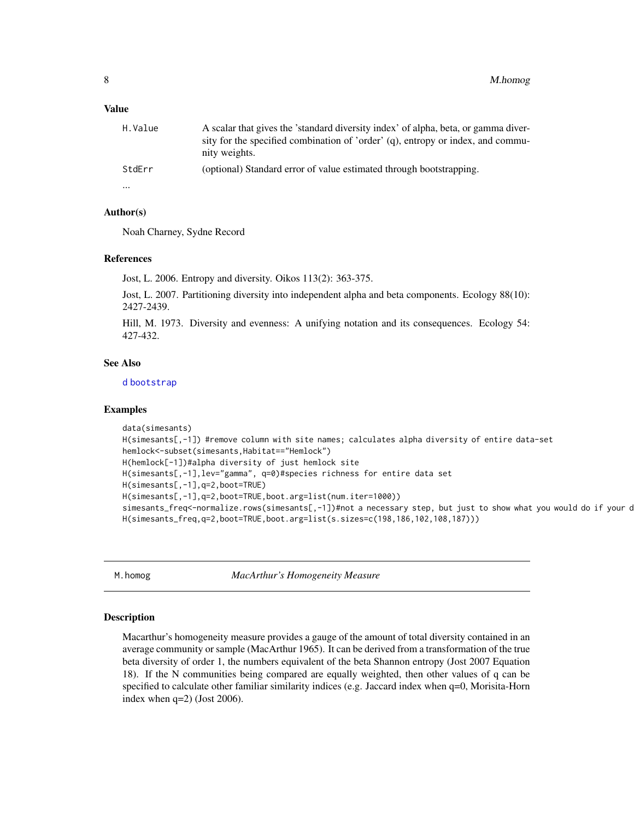#### <span id="page-7-0"></span>Value

| H.Value | A scalar that gives the 'standard diversity index' of alpha, beta, or gamma diver-<br>sity for the specified combination of 'order' (q), entropy or index, and commu-<br>nity weights. |
|---------|----------------------------------------------------------------------------------------------------------------------------------------------------------------------------------------|
| StdErr  | (optional) Standard error of value estimated through bootstrapping.                                                                                                                    |
|         |                                                                                                                                                                                        |

#### Author(s)

Noah Charney, Sydne Record

#### References

Jost, L. 2006. Entropy and diversity. Oikos 113(2): 363-375.

Jost, L. 2007. Partitioning diversity into independent alpha and beta components. Ecology 88(10): 2427-2439.

Hill, M. 1973. Diversity and evenness: A unifying notation and its consequences. Ecology 54: 427-432.

# See Also

[d](#page-4-1) [bootstrap](#page-2-1)

#### Examples

```
data(simesants)
H(simesants[,-1]) #remove column with site names; calculates alpha diversity of entire data-set
hemlock<-subset(simesants,Habitat=="Hemlock")
H(hemlock[-1])#alpha diversity of just hemlock site
H(simesants[,-1],lev="gamma", q=0)#species richness for entire data set
H(simesants[,-1],q=2,boot=TRUE)
H(simesants[,-1],q=2,boot=TRUE,boot.arg=list(num.iter=1000))
simesants_freq<-normalize.rows(simesants[,-1])#not a necessary step, but just to show what you would do if your d
H(simesants_freq,q=2,boot=TRUE,boot.arg=list(s.sizes=c(198,186,102,108,187)))
```
<span id="page-7-1"></span>M.homog *MacArthur's Homogeneity Measure*

#### Description

Macarthur's homogeneity measure provides a gauge of the amount of total diversity contained in an average community or sample (MacArthur 1965). It can be derived from a transformation of the true beta diversity of order 1, the numbers equivalent of the beta Shannon entropy (Jost 2007 Equation 18). If the N communities being compared are equally weighted, then other values of q can be specified to calculate other familiar similarity indices (e.g. Jaccard index when q=0, Morisita-Horn index when q=2) (Jost 2006).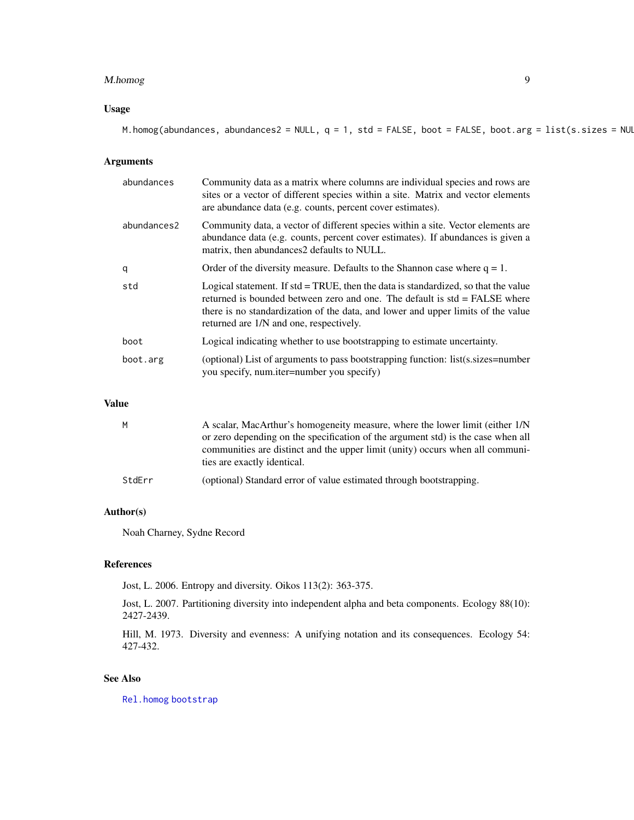#### <span id="page-8-0"></span>M.homog 9

# Usage

M.homog(abundances, abundances2 = NULL,  $q = 1$ , std = FALSE, boot = FALSE, boot.arg = list(s.sizes = NUL

# Arguments

| abundances  | Community data as a matrix where columns are individual species and rows are<br>sites or a vector of different species within a site. Matrix and vector elements<br>are abundance data (e.g. counts, percent cover estimates).                                                                       |
|-------------|------------------------------------------------------------------------------------------------------------------------------------------------------------------------------------------------------------------------------------------------------------------------------------------------------|
| abundances2 | Community data, a vector of different species within a site. Vector elements are<br>abundance data (e.g. counts, percent cover estimates). If abundances is given a<br>matrix, then abundances 2 defaults to NULL.                                                                                   |
| q           | Order of the diversity measure. Defaults to the Shannon case where $q = 1$ .                                                                                                                                                                                                                         |
| std         | Logical statement. If $std = TRUE$ , then the data is standardized, so that the value<br>returned is bounded between zero and one. The default is std = FALSE where<br>there is no standardization of the data, and lower and upper limits of the value<br>returned are $1/N$ and one, respectively. |
| boot        | Logical indicating whether to use bootstrapping to estimate uncertainty.                                                                                                                                                                                                                             |
| boot.arg    | (optional) List of arguments to pass bootstrapping function: list(s.sizes=number<br>you specify, num.iter=number you specify)                                                                                                                                                                        |

# Value

| M      | A scalar, MacArthur's homogeneity measure, where the lower limit (either 1/N<br>or zero depending on the specification of the argument std) is the case when all<br>communities are distinct and the upper limit (unity) occurs when all communi-<br>ties are exactly identical. |
|--------|----------------------------------------------------------------------------------------------------------------------------------------------------------------------------------------------------------------------------------------------------------------------------------|
| StdErr | (optional) Standard error of value estimated through bootstrapping.                                                                                                                                                                                                              |

# Author(s)

Noah Charney, Sydne Record

# References

Jost, L. 2006. Entropy and diversity. Oikos 113(2): 363-375.

Jost, L. 2007. Partitioning diversity into independent alpha and beta components. Ecology 88(10): 2427-2439.

Hill, M. 1973. Diversity and evenness: A unifying notation and its consequences. Ecology 54: 427-432.

# See Also

[Rel.homog](#page-11-1) [bootstrap](#page-2-1)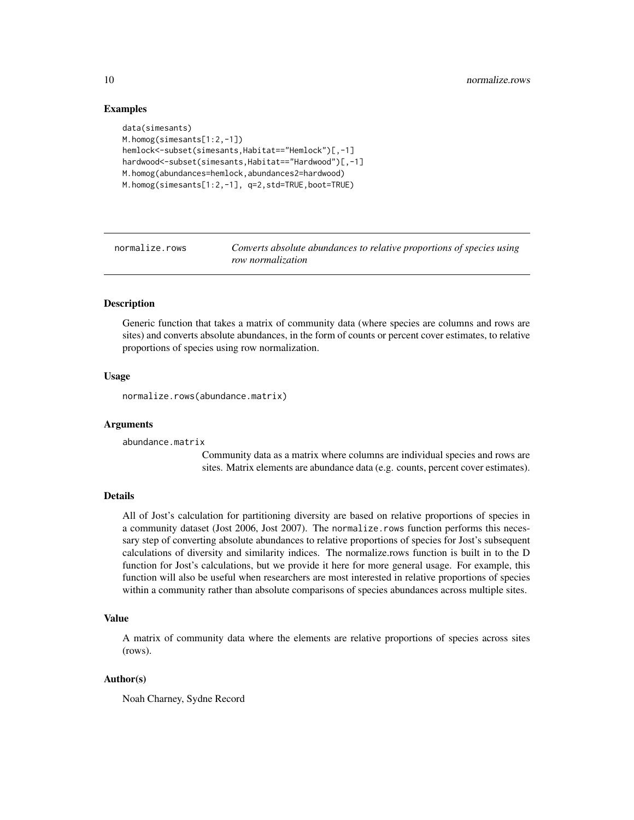# Examples

```
data(simesants)
M.homog(simesants[1:2,-1])
hemlock<-subset(simesants,Habitat=="Hemlock")[,-1]
hardwood<-subset(simesants, Habitat=="Hardwood")[,-1]
M.homog(abundances=hemlock,abundances2=hardwood)
M.homog(simesants[1:2,-1], q=2,std=TRUE,boot=TRUE)
```
normalize.rows *Converts absolute abundances to relative proportions of species using row normalization*

# **Description**

Generic function that takes a matrix of community data (where species are columns and rows are sites) and converts absolute abundances, in the form of counts or percent cover estimates, to relative proportions of species using row normalization.

# Usage

normalize.rows(abundance.matrix)

#### Arguments

abundance.matrix

Community data as a matrix where columns are individual species and rows are sites. Matrix elements are abundance data (e.g. counts, percent cover estimates).

# Details

All of Jost's calculation for partitioning diversity are based on relative proportions of species in a community dataset (Jost 2006, Jost 2007). The normalize.rows function performs this necessary step of converting absolute abundances to relative proportions of species for Jost's subsequent calculations of diversity and similarity indices. The normalize.rows function is built in to the D function for Jost's calculations, but we provide it here for more general usage. For example, this function will also be useful when researchers are most interested in relative proportions of species within a community rather than absolute comparisons of species abundances across multiple sites.

# Value

A matrix of community data where the elements are relative proportions of species across sites (rows).

#### Author(s)

Noah Charney, Sydne Record

<span id="page-9-0"></span>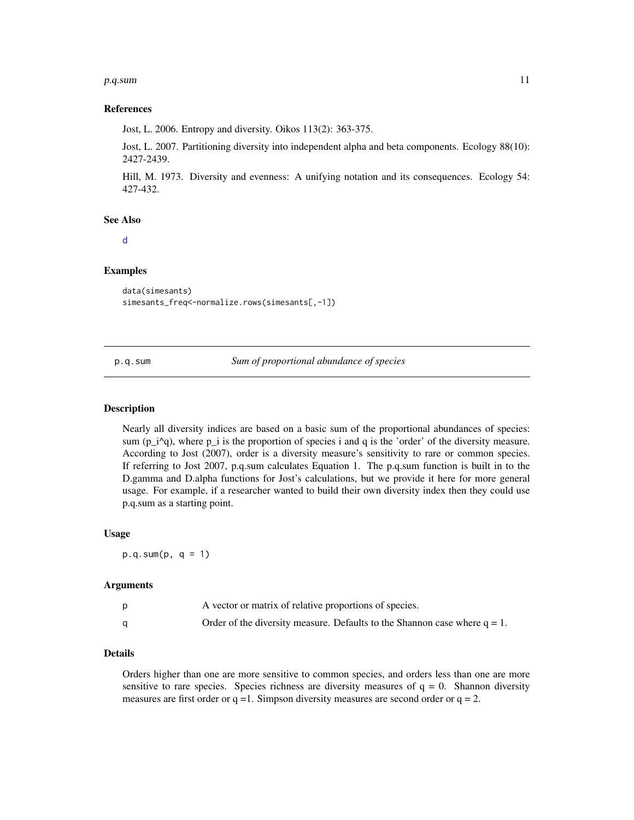#### <span id="page-10-0"></span>p.q.sum and the contract of the contract of the contract of the contract of the contract of the contract of the contract of the contract of the contract of the contract of the contract of the contract of the contract of th

#### References

Jost, L. 2006. Entropy and diversity. Oikos 113(2): 363-375.

Jost, L. 2007. Partitioning diversity into independent alpha and beta components. Ecology 88(10): 2427-2439.

Hill, M. 1973. Diversity and evenness: A unifying notation and its consequences. Ecology 54: 427-432.

#### See Also

[d](#page-4-1)

# Examples

```
data(simesants)
simesants_freq<-normalize.rows(simesants[,-1])
```
p.q.sum *Sum of proportional abundance of species*

#### Description

Nearly all diversity indices are based on a basic sum of the proportional abundances of species: sum ( $p_i^{\alpha}$ ), where  $p_i$  is the proportion of species i and q is the 'order' of the diversity measure. According to Jost (2007), order is a diversity measure's sensitivity to rare or common species. If referring to Jost 2007, p.q.sum calculates Equation 1. The p.q.sum function is built in to the D.gamma and D.alpha functions for Jost's calculations, but we provide it here for more general usage. For example, if a researcher wanted to build their own diversity index then they could use p.q.sum as a starting point.

# Usage

 $p.q.sum(p, q = 1)$ 

#### Arguments

| A vector or matrix of relative proportions of species.                       |
|------------------------------------------------------------------------------|
| Order of the diversity measure. Defaults to the Shannon case where $q = 1$ . |

#### Details

Orders higher than one are more sensitive to common species, and orders less than one are more sensitive to rare species. Species richness are diversity measures of  $q = 0$ . Shannon diversity measures are first order or  $q = 1$ . Simpson diversity measures are second order or  $q = 2$ .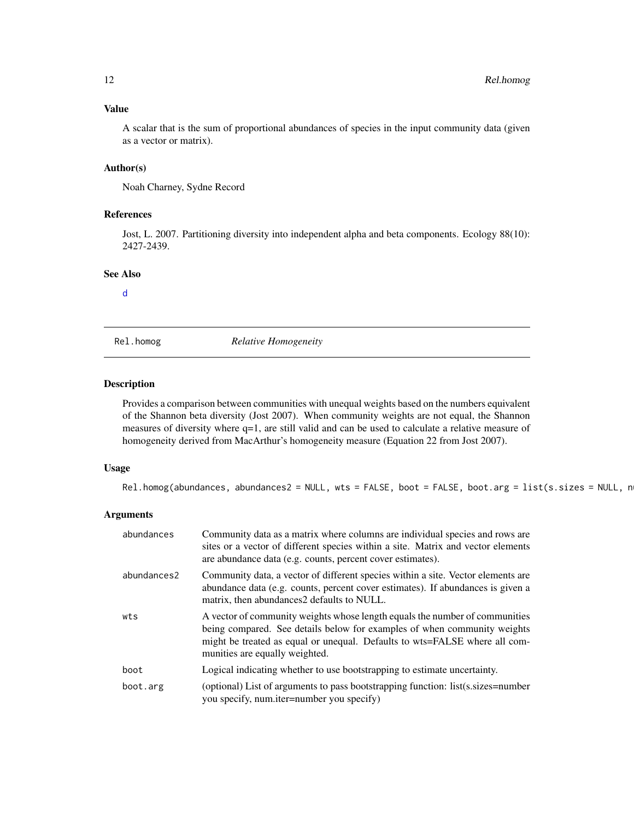# <span id="page-11-0"></span>Value

A scalar that is the sum of proportional abundances of species in the input community data (given as a vector or matrix).

# Author(s)

Noah Charney, Sydne Record

# References

Jost, L. 2007. Partitioning diversity into independent alpha and beta components. Ecology 88(10): 2427-2439.

# See Also

[d](#page-4-1)

<span id="page-11-1"></span>Rel.homog *Relative Homogeneity*

# Description

Provides a comparison between communities with unequal weights based on the numbers equivalent of the Shannon beta diversity (Jost 2007). When community weights are not equal, the Shannon measures of diversity where q=1, are still valid and can be used to calculate a relative measure of homogeneity derived from MacArthur's homogeneity measure (Equation 22 from Jost 2007).

# Usage

 $Rel.homog(abundances, abundances2 = NULL, wts = FALSE, boot = FALSE, boot.argv = list(s.sizes = NULL, n)$ 

# Arguments

| abundances  | Community data as a matrix where columns are individual species and rows are<br>sites or a vector of different species within a site. Matrix and vector elements<br>are abundance data (e.g. counts, percent cover estimates).                                          |
|-------------|-------------------------------------------------------------------------------------------------------------------------------------------------------------------------------------------------------------------------------------------------------------------------|
| abundances2 | Community data, a vector of different species within a site. Vector elements are<br>abundance data (e.g. counts, percent cover estimates). If abundances is given a<br>matrix, then abundances2 defaults to NULL.                                                       |
| wts         | A vector of community weights whose length equals the number of communities<br>being compared. See details below for examples of when community weights<br>might be treated as equal or unequal. Defaults to wts=FALSE where all com-<br>munities are equally weighted. |
| boot        | Logical indicating whether to use bootstrapping to estimate uncertainty.                                                                                                                                                                                                |
| boot.arg    | (optional) List of arguments to pass bootstrapping function: list(s.sizes=number<br>you specify, num.iter=number you specify)                                                                                                                                           |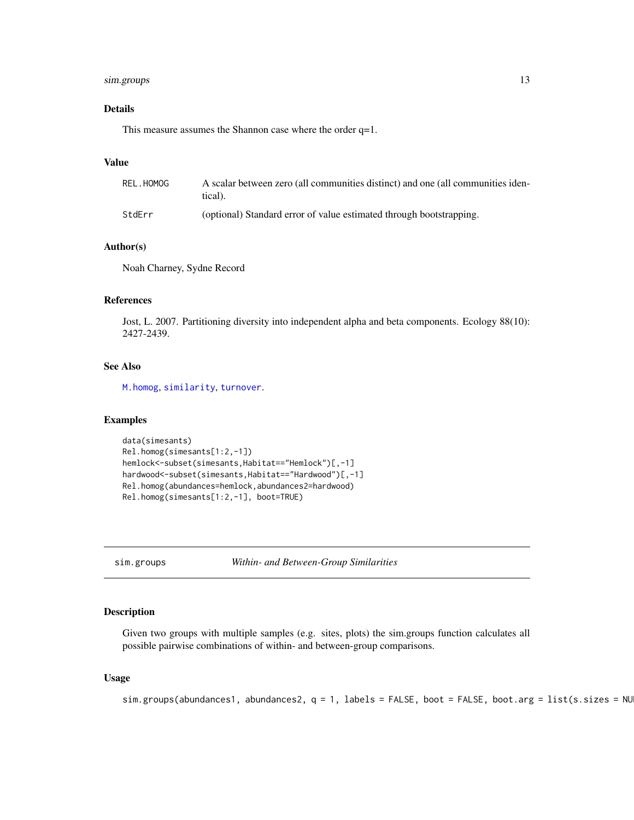# <span id="page-12-0"></span>sim.groups 13

# Details

This measure assumes the Shannon case where the order q=1.

# Value

| REL.HOMOG | A scalar between zero (all communities distinct) and one (all communities iden-<br>tical). |
|-----------|--------------------------------------------------------------------------------------------|
| StdErr    | (optional) Standard error of value estimated through bootstrapping.                        |

# Author(s)

Noah Charney, Sydne Record

# References

Jost, L. 2007. Partitioning diversity into independent alpha and beta components. Ecology 88(10): 2427-2439.

# See Also

[M.homog](#page-7-1), [similarity](#page-17-1), [turnover](#page-18-1).

#### Examples

```
data(simesants)
Rel.homog(simesants[1:2,-1])
hemlock<-subset(simesants,Habitat=="Hemlock")[,-1]
hardwood<-subset(simesants,Habitat=="Hardwood")[,-1]
Rel.homog(abundances=hemlock,abundances2=hardwood)
Rel.homog(simesants[1:2,-1], boot=TRUE)
```
<span id="page-12-1"></span>sim.groups *Within- and Between-Group Similarities*

# Description

Given two groups with multiple samples (e.g. sites, plots) the sim.groups function calculates all possible pairwise combinations of within- and between-group comparisons.

# Usage

```
sim.groups(abundances1, abundances2, q = 1, labels = FALSE, boot = FALSE, boot.arg = list(s.sizes = NU
```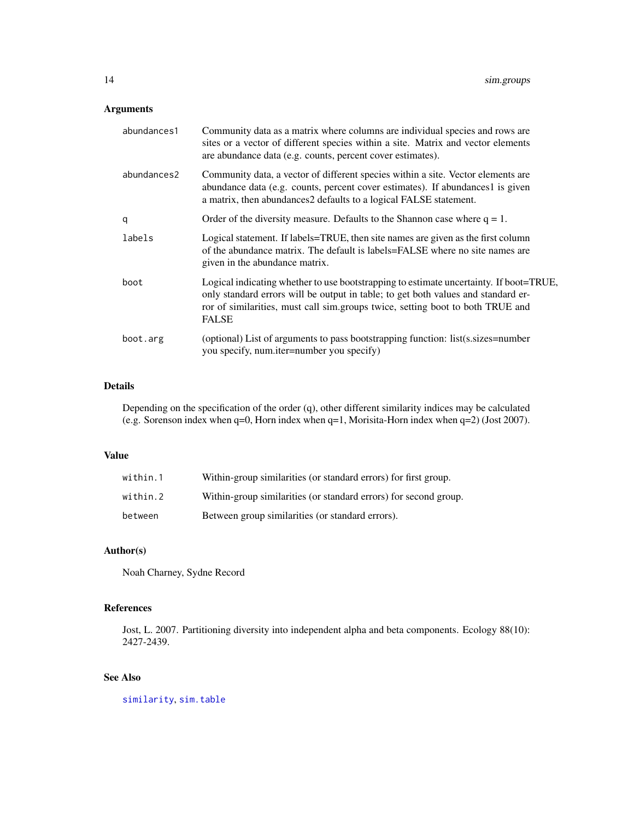# <span id="page-13-0"></span>Arguments

| abundances1 | Community data as a matrix where columns are individual species and rows are<br>sites or a vector of different species within a site. Matrix and vector elements<br>are abundance data (e.g. counts, percent cover estimates).                                         |
|-------------|------------------------------------------------------------------------------------------------------------------------------------------------------------------------------------------------------------------------------------------------------------------------|
| abundances2 | Community data, a vector of different species within a site. Vector elements are<br>abundance data (e.g. counts, percent cover estimates). If abundances1 is given<br>a matrix, then abundances2 defaults to a logical FALSE statement.                                |
| q           | Order of the diversity measure. Defaults to the Shannon case where $q = 1$ .                                                                                                                                                                                           |
| labels      | Logical statement. If labels=TRUE, then site names are given as the first column<br>of the abundance matrix. The default is labels=FALSE where no site names are<br>given in the abundance matrix.                                                                     |
| boot        | Logical indicating whether to use bootstrapping to estimate uncertainty. If boot=TRUE,<br>only standard errors will be output in table; to get both values and standard er-<br>ror of similarities, must call sim.groups twice, setting boot to both TRUE and<br>FALSE |
| boot.arg    | (optional) List of arguments to pass bootstrapping function: list(s.sizes=number<br>you specify, num.iter=number you specify)                                                                                                                                          |

# Details

Depending on the specification of the order (q), other different similarity indices may be calculated (e.g. Sorenson index when q=0, Horn index when q=1, Morisita-Horn index when q=2) (Jost 2007).

# Value

| within.1 | Within-group similarities (or standard errors) for first group.  |
|----------|------------------------------------------------------------------|
| within.2 | Within-group similarities (or standard errors) for second group. |
| between  | Between group similarities (or standard errors).                 |

# Author(s)

Noah Charney, Sydne Record

# References

Jost, L. 2007. Partitioning diversity into independent alpha and beta components. Ecology 88(10): 2427-2439.

# See Also

[similarity](#page-17-1), [sim.table](#page-14-1)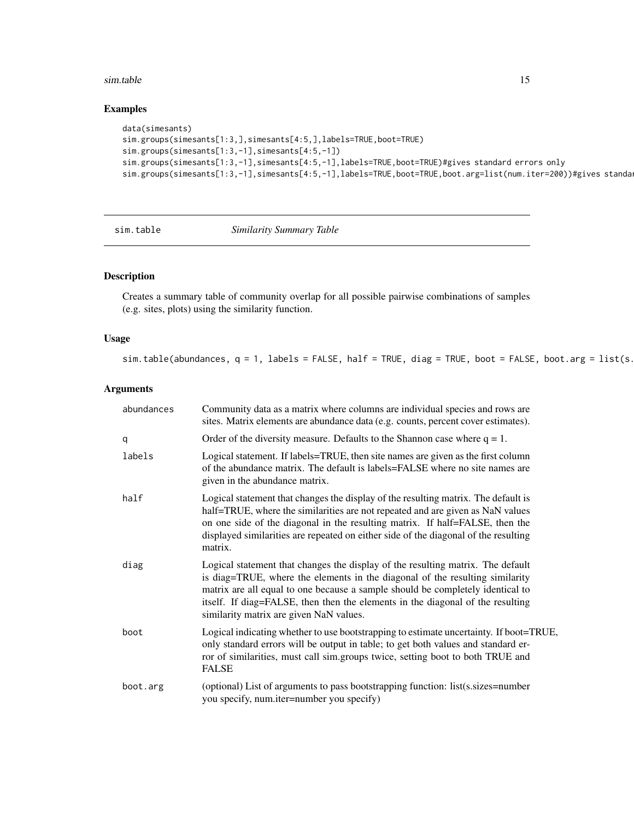#### <span id="page-14-0"></span>sim.table 15

# Examples

```
data(simesants)
sim.groups(simesants[1:3,],simesants[4:5,],labels=TRUE,boot=TRUE)
sim.groups(simesants[1:3,-1],simesants[4:5,-1])
sim.groups(simesants[1:3,-1],simesants[4:5,-1],labels=TRUE,boot=TRUE)#gives standard errors only
sim.groups(simesants[1:3,-1],simesants[4:5,-1],labels=TRUE,boot=TRUE,boot.arg=list(num.iter=200))#gives standa
```
<span id="page-14-1"></span>

sim.table *Similarity Summary Table*

# Description

Creates a summary table of community overlap for all possible pairwise combinations of samples (e.g. sites, plots) using the similarity function.

# Usage

sim.table(abundances,  $q = 1$ , labels = FALSE, half = TRUE, diag = TRUE, boot = FALSE, boot.arg = list(s.

# Arguments

| abundances | Community data as a matrix where columns are individual species and rows are<br>sites. Matrix elements are abundance data (e.g. counts, percent cover estimates).                                                                                                                                                                                                              |
|------------|--------------------------------------------------------------------------------------------------------------------------------------------------------------------------------------------------------------------------------------------------------------------------------------------------------------------------------------------------------------------------------|
| q          | Order of the diversity measure. Defaults to the Shannon case where $q = 1$ .                                                                                                                                                                                                                                                                                                   |
| labels     | Logical statement. If labels=TRUE, then site names are given as the first column<br>of the abundance matrix. The default is labels=FALSE where no site names are<br>given in the abundance matrix.                                                                                                                                                                             |
| half       | Logical statement that changes the display of the resulting matrix. The default is<br>half=TRUE, where the similarities are not repeated and are given as NaN values<br>on one side of the diagonal in the resulting matrix. If half=FALSE, then the<br>displayed similarities are repeated on either side of the diagonal of the resulting<br>matrix.                         |
| diag       | Logical statement that changes the display of the resulting matrix. The default<br>is diag=TRUE, where the elements in the diagonal of the resulting similarity<br>matrix are all equal to one because a sample should be completely identical to<br>itself. If diag=FALSE, then then the elements in the diagonal of the resulting<br>similarity matrix are given NaN values. |
| boot       | Logical indicating whether to use bootstrapping to estimate uncertainty. If boot=TRUE,<br>only standard errors will be output in table; to get both values and standard er-<br>ror of similarities, must call sim.groups twice, setting boot to both TRUE and<br><b>FALSE</b>                                                                                                  |
| boot.arg   | (optional) List of arguments to pass bootstrapping function: list(s.sizes=number<br>you specify, num.iter=number you specify)                                                                                                                                                                                                                                                  |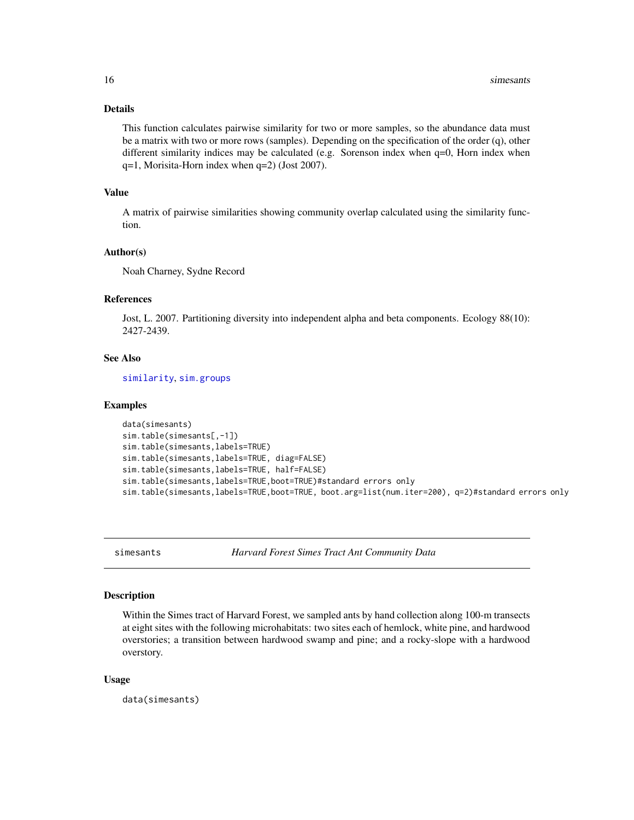# Details

This function calculates pairwise similarity for two or more samples, so the abundance data must be a matrix with two or more rows (samples). Depending on the specification of the order (q), other different similarity indices may be calculated (e.g. Sorenson index when q=0, Horn index when q=1, Morisita-Horn index when q=2) (Jost 2007).

# Value

A matrix of pairwise similarities showing community overlap calculated using the similarity function.

# Author(s)

Noah Charney, Sydne Record

#### References

Jost, L. 2007. Partitioning diversity into independent alpha and beta components. Ecology 88(10): 2427-2439.

# See Also

[similarity](#page-17-1), [sim.groups](#page-12-1)

#### Examples

```
data(simesants)
sim.table(simesants[,-1])
sim.table(simesants,labels=TRUE)
sim.table(simesants,labels=TRUE, diag=FALSE)
sim.table(simesants,labels=TRUE, half=FALSE)
sim.table(simesants,labels=TRUE,boot=TRUE)#standard errors only
sim.table(simesants,labels=TRUE,boot=TRUE, boot.arg=list(num.iter=200), q=2)#standard errors only
```
simesants *Harvard Forest Simes Tract Ant Community Data*

# Description

Within the Simes tract of Harvard Forest, we sampled ants by hand collection along 100-m transects at eight sites with the following microhabitats: two sites each of hemlock, white pine, and hardwood overstories; a transition between hardwood swamp and pine; and a rocky-slope with a hardwood overstory.

#### Usage

data(simesants)

<span id="page-15-0"></span>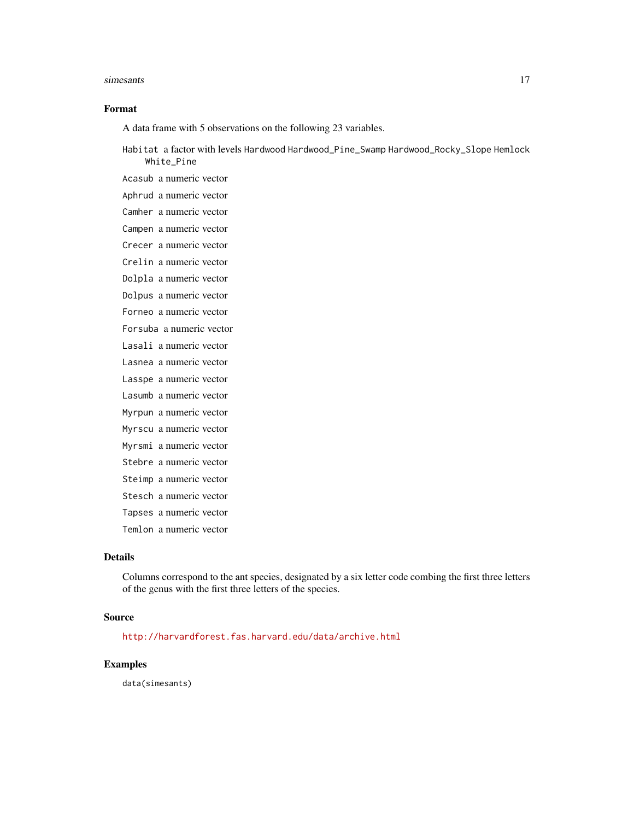#### simesants and the state of the state of the state of the state of the state of the state of the state of the state of the state of the state of the state of the state of the state of the state of the state of the state of

# Format

A data frame with 5 observations on the following 23 variables.

Habitat a factor with levels Hardwood Hardwood\_Pine\_Swamp Hardwood\_Rocky\_Slope Hemlock White\_Pine

Acasub a numeric vector Aphrud a numeric vector Camher a numeric vector Campen a numeric vector Crecer a numeric vector Crelin a numeric vector Dolpla a numeric vector Dolpus a numeric vector Forneo a numeric vector Forsuba a numeric vector Lasali a numeric vector Lasnea a numeric vector Lasspe a numeric vector Lasumb a numeric vector Myrpun a numeric vector Myrscu a numeric vector Myrsmi a numeric vector Stebre a numeric vector Steimp a numeric vector Stesch a numeric vector Tapses a numeric vector

Temlon a numeric vector

# Details

Columns correspond to the ant species, designated by a six letter code combing the first three letters of the genus with the first three letters of the species.

#### Source

<http://harvardforest.fas.harvard.edu/data/archive.html>

# Examples

data(simesants)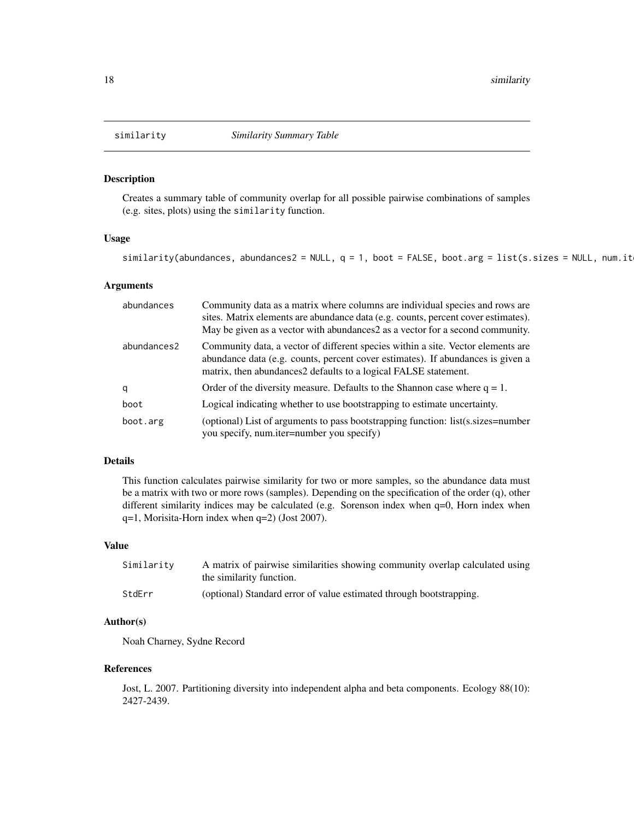<span id="page-17-1"></span><span id="page-17-0"></span>

# Description

Creates a summary table of community overlap for all possible pairwise combinations of samples (e.g. sites, plots) using the similarity function.

# Usage

similarity(abundances, abundances2 = NULL,  $q = 1$ , boot = FALSE, boot.arg = list(s.sizes = NULL, num.it

#### Arguments

| abundances  | Community data as a matrix where columns are individual species and rows are<br>sites. Matrix elements are abundance data (e.g. counts, percent cover estimates).<br>May be given as a vector with abundances2 as a vector for a second community. |
|-------------|----------------------------------------------------------------------------------------------------------------------------------------------------------------------------------------------------------------------------------------------------|
| abundances2 | Community data, a vector of different species within a site. Vector elements are<br>abundance data (e.g. counts, percent cover estimates). If abundances is given a<br>matrix, then abundances2 defaults to a logical FALSE statement.             |
| q           | Order of the diversity measure. Defaults to the Shannon case where $q = 1$ .                                                                                                                                                                       |
| boot        | Logical indicating whether to use bootstrapping to estimate uncertainty.                                                                                                                                                                           |
| boot.arg    | (optional) List of arguments to pass bootstrapping function: list(s.sizes=number<br>you specify, num.iter=number you specify)                                                                                                                      |

# Details

This function calculates pairwise similarity for two or more samples, so the abundance data must be a matrix with two or more rows (samples). Depending on the specification of the order (q), other different similarity indices may be calculated (e.g. Sorenson index when q=0, Horn index when q=1, Morisita-Horn index when q=2) (Jost 2007).

# Value

| Similarity | A matrix of pairwise similarities showing community overlap calculated using<br>the similarity function. |
|------------|----------------------------------------------------------------------------------------------------------|
| StdErr     | (optional) Standard error of value estimated through bootstrapping.                                      |

# Author(s)

Noah Charney, Sydne Record

#### References

Jost, L. 2007. Partitioning diversity into independent alpha and beta components. Ecology 88(10): 2427-2439.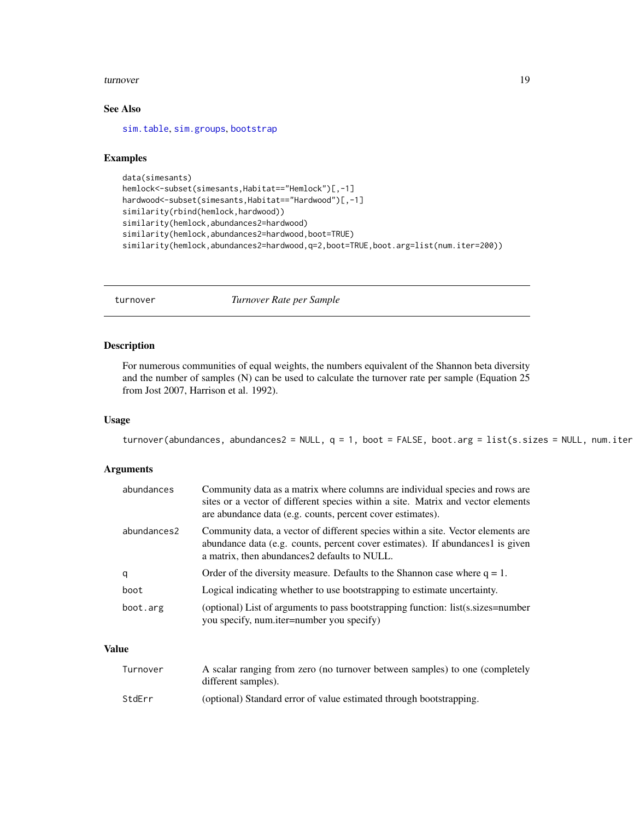#### <span id="page-18-0"></span>turnover and the state of the state of the state of the state of the state of the state of the state of the state of the state of the state of the state of the state of the state of the state of the state of the state of t

# See Also

[sim.table](#page-14-1), [sim.groups](#page-12-1), [bootstrap](#page-2-1)

#### Examples

```
data(simesants)
hemlock<-subset(simesants,Habitat=="Hemlock")[,-1]
hardwood<-subset(simesants,Habitat=="Hardwood")[,-1]
similarity(rbind(hemlock,hardwood))
similarity(hemlock,abundances2=hardwood)
similarity(hemlock,abundances2=hardwood,boot=TRUE)
similarity(hemlock,abundances2=hardwood,q=2,boot=TRUE,boot.arg=list(num.iter=200))
```
<span id="page-18-1"></span>turnover *Turnover Rate per Sample*

# Description

For numerous communities of equal weights, the numbers equivalent of the Shannon beta diversity and the number of samples (N) can be used to calculate the turnover rate per sample (Equation 25 from Jost 2007, Harrison et al. 1992).

#### Usage

```
turnover(abundances, abundances2 = NULL, q = 1, boot = FALSE, boot.arg = list(s.sizes = NULL, num.iter
```
# Arguments

| abundances  | Community data as a matrix where columns are individual species and rows are<br>sites or a vector of different species within a site. Matrix and vector elements<br>are abundance data (e.g. counts, percent cover estimates). |
|-------------|--------------------------------------------------------------------------------------------------------------------------------------------------------------------------------------------------------------------------------|
| abundances2 | Community data, a vector of different species within a site. Vector elements are<br>abundance data (e.g. counts, percent cover estimates). If abundances1 is given<br>a matrix, then abundances 2 defaults to NULL.            |
| q           | Order of the diversity measure. Defaults to the Shannon case where $q = 1$ .                                                                                                                                                   |
| boot        | Logical indicating whether to use bootstrapping to estimate uncertainty.                                                                                                                                                       |
| boot.arg    | (optional) List of arguments to pass bootstrapping function: list(s.sizes=number<br>you specify, num.iter=number you specify)                                                                                                  |

# Value

| Turnover | A scalar ranging from zero (no turnover between samples) to one (completely<br>different samples). |
|----------|----------------------------------------------------------------------------------------------------|
| StdErr   | (optional) Standard error of value estimated through bootstrapping.                                |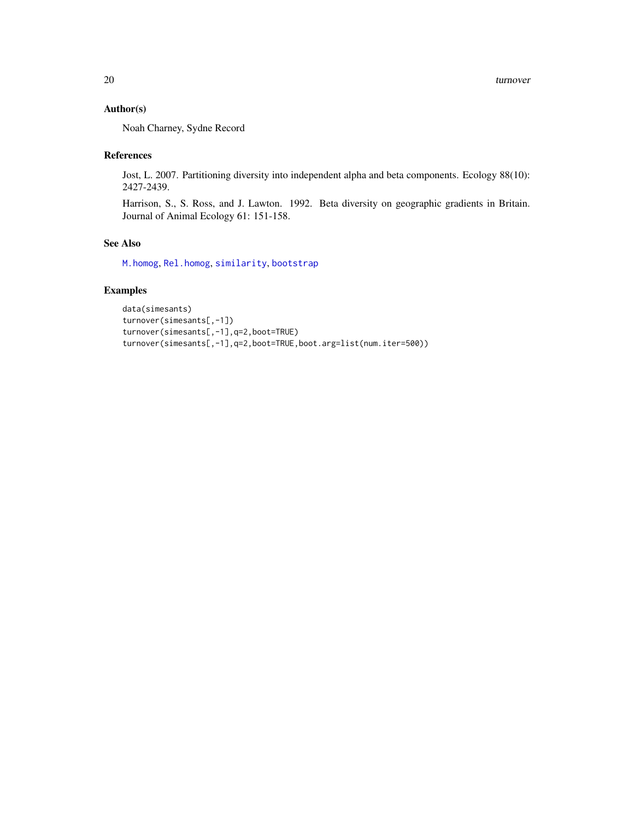# <span id="page-19-0"></span>Author(s)

Noah Charney, Sydne Record

# References

Jost, L. 2007. Partitioning diversity into independent alpha and beta components. Ecology 88(10): 2427-2439.

Harrison, S., S. Ross, and J. Lawton. 1992. Beta diversity on geographic gradients in Britain. Journal of Animal Ecology 61: 151-158.

# See Also

[M.homog](#page-7-1), [Rel.homog](#page-11-1), [similarity](#page-17-1), [bootstrap](#page-2-1)

# Examples

```
data(simesants)
turnover(simesants[,-1])
turnover(simesants[,-1],q=2,boot=TRUE)
turnover(simesants[,-1],q=2,boot=TRUE,boot.arg=list(num.iter=500))
```